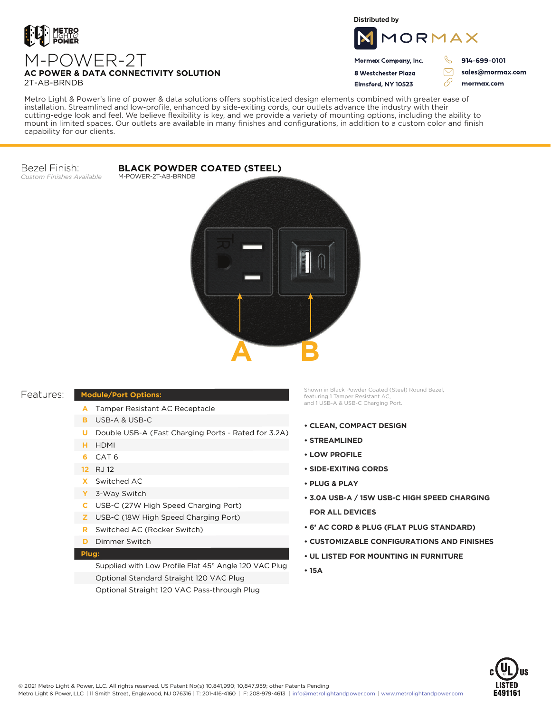

# M-POWER-2T **AC POWER & DATA CONNECTIVITY SOLUTION** 2T-AB-BRNDB

**Distributed by**



Mormax Company, Inc. 8 Westchester Plaza

914-699-0101

ק

sales@mormax.com mormax.com

Flmsford, NY 10523

76

Metro Light & Power's line of power & data solutions offers sophisticated design elements combined with greater ease of installation. Streamlined and low-profile, enhanced by side-exiting cords, our outlets advance the industry with their cutting-edge look and feel. We believe flexibility is key, and we provide a variety of mounting options, including the ability to mount in limited spaces. Our outlets are available in many finishes and configurations, in addition to a custom color and finish capability for our clients.

Bezel Finish: *Custom Finishes Available*

**BLACK POWDER COATED (STEEL)** M-POWER-2T-AB-BRNDB



### Features:

## **Module/Port Options:**

- A Tamper Resistant AC Receptacle
- USB-A & USB-C **B**
- U Double USB-A (Fast Charging Ports Rated for 3.2A)
- HDMI **H**
- CAT 6 **6**
- 12 RJ 12
- Switched AC **X**
- 3-Way Switch **Y**
- USB-C (27W High Speed Charging Port) **C**
- USB-C (18W High Speed Charging Port) **Z**
- Switched AC (Rocker Switch) **R**
- **D** Dimmer Switch

#### **Plug:**

Supplied with Low Profile Flat 45° Angle 120 VAC Plug Optional Standard Straight 120 VAC Plug Optional Straight 120 VAC Pass-through Plug

Shown in Black Powder Coated (Steel) Round Bezel, featuring 1 Tamper Resistant AC, and 1 USB-A & USB-C Charging Port.

- **CLEAN, COMPACT DESIGN**
- **STREAMLINED**
- **LOW PROFILE**
- **SIDE-EXITING CORDS**
- **PLUG & PLAY**
- **3.0A USB-A / 15W USB-C HIGH SPEED CHARGING FOR ALL DEVICES**
- **6' AC CORD & PLUG (FLAT PLUG STANDARD)**
- **CUSTOMIZABLE CONFIGURATIONS AND FINISHES**
- **UL LISTED FOR MOUNTING IN FURNITURE**
- **15A**